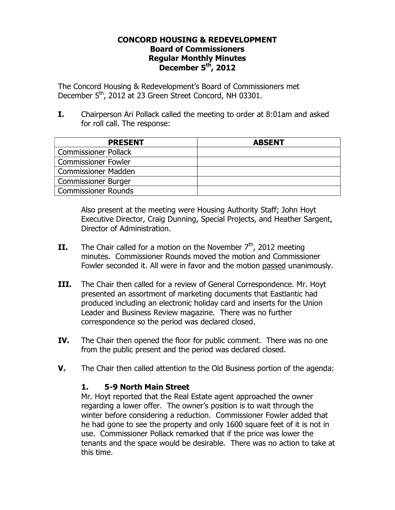### **CONCORD HOUSING & REDEVELOPMENT Board of Commissioners Regular Monthly Minutes December 5th, 2012**

The Concord Housing & Redevelopment's Board of Commissioners met December 5<sup>th</sup>, 2012 at 23 Green Street Concord, NH 03301.

**I.** Chairperson Ari Pollack called the meeting to order at 8:01am and asked for roll call. The response:

| <b>PRESENT</b>              | <b>ABSENT</b> |
|-----------------------------|---------------|
| <b>Commissioner Pollack</b> |               |
| <b>Commissioner Fowler</b>  |               |
| Commissioner Madden         |               |
| <b>Commissioner Burger</b>  |               |
| <b>Commissioner Rounds</b>  |               |

Also present at the meeting were Housing Authority Staff; John Hoyt Executive Director, Craig Dunning, Special Projects, and Heather Sargent, Director of Administration.

- **II.** The Chair called for a motion on the November  $7<sup>th</sup>$ , 2012 meeting minutes. Commissioner Rounds moved the motion and Commissioner Fowler seconded it. All were in favor and the motion passed unanimously.
- **III.** The Chair then called for a review of General Correspondence. Mr. Hoyt presented an assortment of marketing documents that Eastlantic had produced including an electronic holiday card and inserts for the Union Leader and Business Review magazine. There was no further correspondence so the period was declared closed.
- **IV.** The Chair then opened the floor for public comment. There was no one from the public present and the period was declared closed.
- **V.** The Chair then called attention to the Old Business portion of the agenda:

# **1. 5-9 North Main Street**

Mr. Hoyt reported that the Real Estate agent approached the owner regarding a lower offer. The owner's position is to wait through the winter before considering a reduction. Commissioner Fowler added that he had gone to see the property and only 1600 square feet of it is not in use. Commissioner Pollack remarked that if the price was lower the tenants and the space would be desirable. There was no action to take at this time.